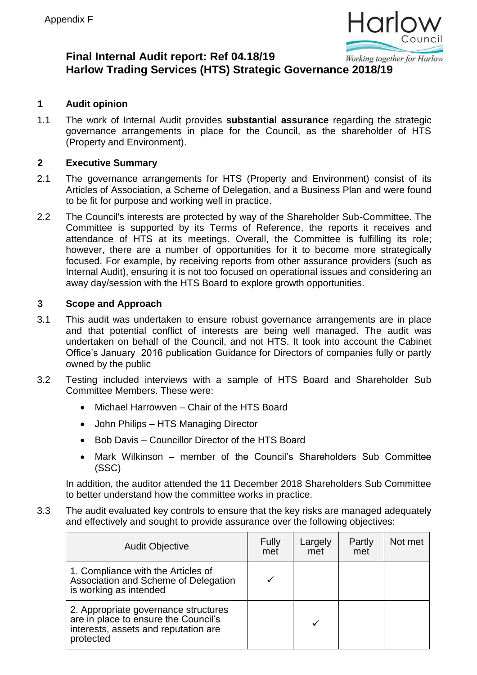

#### **Final Internal Audit report: Ref 04.18/19** Working together for Harlow **Harlow Trading Services (HTS) Strategic Governance 2018/19**

# **1 Audit opinion**

1.1 The work of Internal Audit provides **substantial assurance** regarding the strategic governance arrangements in place for the Council, as the shareholder of HTS (Property and Environment).

#### **2 Executive Summary**

- 2.1 The governance arrangements for HTS (Property and Environment) consist of its Articles of Association, a Scheme of Delegation, and a Business Plan and were found to be fit for purpose and working well in practice.
- 2.2 The Council's interests are protected by way of the Shareholder Sub-Committee. The Committee is supported by its Terms of Reference, the reports it receives and attendance of HTS at its meetings. Overall, the Committee is fulfilling its role; however, there are a number of opportunities for it to become more strategically focused. For example, by receiving reports from other assurance providers (such as Internal Audit), ensuring it is not too focused on operational issues and considering an away day/session with the HTS Board to explore growth opportunities.

#### **3 Scope and Approach**

- 3.1 This audit was undertaken to ensure robust governance arrangements are in place and that potential conflict of interests are being well managed. The audit was undertaken on behalf of the Council, and not HTS. It took into account the Cabinet Office's January 2016 publication [Guidance for Directors of companies fully or partly](https://assets.publishing.service.gov.uk/government/uploads/system/uploads/attachment_data/file/499170/Guidance_for_Directors_of_companies_fully_or_partly_owned_by_the_public_sector_FINAL.pdf)  [owned by the public](https://assets.publishing.service.gov.uk/government/uploads/system/uploads/attachment_data/file/499170/Guidance_for_Directors_of_companies_fully_or_partly_owned_by_the_public_sector_FINAL.pdf)
- 3.2 Testing included interviews with a sample of HTS Board and Shareholder Sub Committee Members. These were:
	- Michael Harrowven Chair of the HTS Board
	- John Philips HTS Managing Director
	- Bob Davis Councillor Director of the HTS Board
	- Mark Wilkinson member of the Council's Shareholders Sub Committee (SSC)

In addition, the auditor attended the 11 December 2018 Shareholders Sub Committee to better understand how the committee works in practice.

3.3 The audit evaluated key controls to ensure that the key risks are managed adequately and effectively and sought to provide assurance over the following objectives:

| <b>Audit Objective</b>                                                                                                            | Fully<br>met | Largely<br>met | Partly<br>met | Not met |
|-----------------------------------------------------------------------------------------------------------------------------------|--------------|----------------|---------------|---------|
| 1. Compliance with the Articles of<br>Association and Scheme of Delegation<br>is working as intended                              |              |                |               |         |
| 2. Appropriate governance structures<br>are in place to ensure the Council's<br>interests, assets and reputation are<br>protected |              |                |               |         |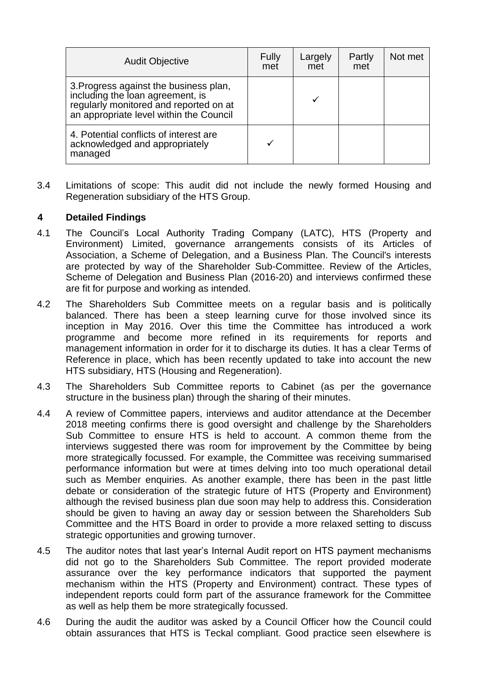| <b>Audit Objective</b>                                                                                                                                          | Fully<br>met | Largely<br>met | Partly<br>met | Not met |
|-----------------------------------------------------------------------------------------------------------------------------------------------------------------|--------------|----------------|---------------|---------|
| 3. Progress against the business plan,<br>including the loan agreement, is<br>regularly monitored and reported on at<br>an appropriate level within the Council |              |                |               |         |
| 4. Potential conflicts of interest are<br>acknowledged and appropriately<br>managed                                                                             |              |                |               |         |

3.4 Limitations of scope: This audit did not include the newly formed Housing and Regeneration subsidiary of the HTS Group.

# **4 Detailed Findings**

- 4.1 The Council's Local Authority Trading Company (LATC), HTS (Property and Environment) Limited, governance arrangements consists of its Articles of Association, a Scheme of Delegation, and a Business Plan. The Council's interests are protected by way of the Shareholder Sub-Committee. Review of the Articles, Scheme of Delegation and Business Plan (2016-20) and interviews confirmed these are fit for purpose and working as intended.
- 4.2 The Shareholders Sub Committee meets on a regular basis and is politically balanced. There has been a steep learning curve for those involved since its inception in May 2016. Over this time the Committee has introduced a work programme and become more refined in its requirements for reports and management information in order for it to discharge its duties. It has a clear Terms of Reference in place, which has been recently updated to take into account the new HTS subsidiary, HTS (Housing and Regeneration).
- 4.3 The Shareholders Sub Committee reports to Cabinet (as per the governance structure in the business plan) through the sharing of their minutes.
- 4.4 A review of Committee papers, interviews and auditor attendance at the December 2018 meeting confirms there is good oversight and challenge by the Shareholders Sub Committee to ensure HTS is held to account. A common theme from the interviews suggested there was room for improvement by the Committee by being more strategically focussed. For example, the Committee was receiving summarised performance information but were at times delving into too much operational detail such as Member enquiries. As another example, there has been in the past little debate or consideration of the strategic future of HTS (Property and Environment) although the revised business plan due soon may help to address this. Consideration should be given to having an away day or session between the Shareholders Sub Committee and the HTS Board in order to provide a more relaxed setting to discuss strategic opportunities and growing turnover.
- 4.5 The auditor notes that last year's Internal Audit report on HTS payment mechanisms did not go to the Shareholders Sub Committee. The report provided moderate assurance over the key performance indicators that supported the payment mechanism within the HTS (Property and Environment) contract. These types of independent reports could form part of the assurance framework for the Committee as well as help them be more strategically focussed.
- 4.6 During the audit the auditor was asked by a Council Officer how the Council could obtain assurances that HTS is Teckal compliant. Good practice seen elsewhere is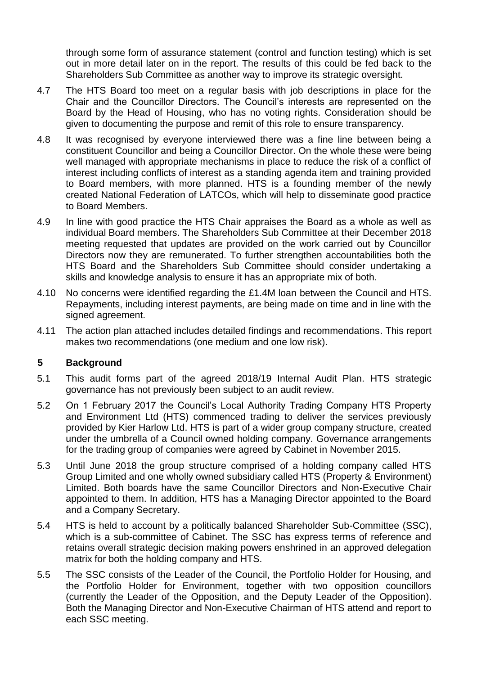through some form of assurance statement (control and function testing) which is set out in more detail later on in the report. The results of this could be fed back to the Shareholders Sub Committee as another way to improve its strategic oversight.

- 4.7 The HTS Board too meet on a regular basis with job descriptions in place for the Chair and the Councillor Directors. The Council's interests are represented on the Board by the Head of Housing, who has no voting rights. Consideration should be given to documenting the purpose and remit of this role to ensure transparency.
- 4.8 It was recognised by everyone interviewed there was a fine line between being a constituent Councillor and being a Councillor Director. On the whole these were being well managed with appropriate mechanisms in place to reduce the risk of a conflict of interest including conflicts of interest as a standing agenda item and training provided to Board members, with more planned. HTS is a founding member of the newly created National Federation of LATCOs, which will help to disseminate good practice to Board Members.
- 4.9 In line with good practice the HTS Chair appraises the Board as a whole as well as individual Board members. The Shareholders Sub Committee at their December 2018 meeting requested that updates are provided on the work carried out by Councillor Directors now they are remunerated. To further strengthen accountabilities both the HTS Board and the Shareholders Sub Committee should consider undertaking a skills and knowledge analysis to ensure it has an appropriate mix of both.
- 4.10 No concerns were identified regarding the £1.4M loan between the Council and HTS. Repayments, including interest payments, are being made on time and in line with the signed agreement.
- 4.11 The action plan attached includes detailed findings and recommendations. This report makes two recommendations (one medium and one low risk).

### **5 Background**

- 5.1 This audit forms part of the agreed 2018/19 Internal Audit Plan. HTS strategic governance has not previously been subject to an audit review.
- 5.2 On 1 February 2017 the Council's Local Authority Trading Company HTS Property and Environment Ltd (HTS) commenced trading to deliver the services previously provided by Kier Harlow Ltd. HTS is part of a wider group company structure, created under the umbrella of a Council owned holding company. Governance arrangements for the trading group of companies were agreed by Cabinet in November 2015.
- 5.3 Until June 2018 the group structure comprised of a holding company called HTS Group Limited and one wholly owned subsidiary called HTS (Property & Environment) Limited. Both boards have the same Councillor Directors and Non-Executive Chair appointed to them. In addition, HTS has a Managing Director appointed to the Board and a Company Secretary.
- 5.4 HTS is held to account by a politically balanced Shareholder Sub-Committee (SSC), which is a sub-committee of Cabinet. The SSC has express terms of reference and retains overall strategic decision making powers enshrined in an approved delegation matrix for both the holding company and HTS.
- 5.5 The SSC consists of the Leader of the Council, the Portfolio Holder for Housing, and the Portfolio Holder for Environment, together with two opposition councillors (currently the Leader of the Opposition, and the Deputy Leader of the Opposition). Both the Managing Director and Non-Executive Chairman of HTS attend and report to each SSC meeting.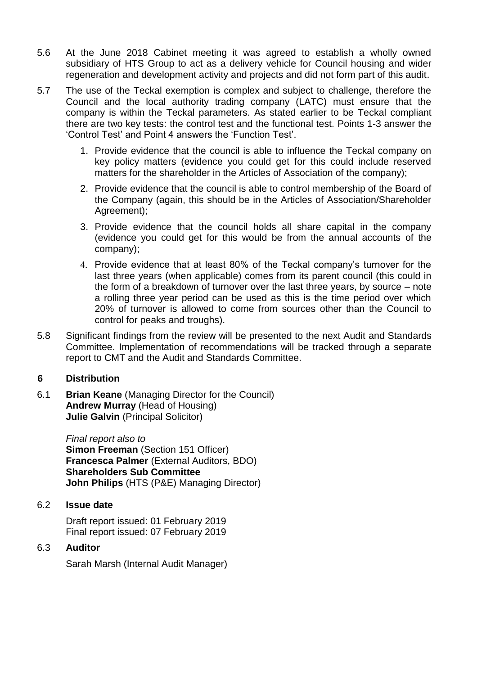- 5.6 At the June 2018 Cabinet meeting it was agreed to establish a wholly owned subsidiary of HTS Group to act as a delivery vehicle for Council housing and wider regeneration and development activity and projects and did not form part of this audit.
- 5.7 The use of the Teckal exemption is complex and subject to challenge, therefore the Council and the local authority trading company (LATC) must ensure that the company is within the Teckal parameters. As stated earlier to be Teckal compliant there are two key tests: the control test and the functional test. Points 1-3 answer the 'Control Test' and Point 4 answers the 'Function Test'.
	- 1. Provide evidence that the council is able to influence the Teckal company on key policy matters (evidence you could get for this could include reserved matters for the shareholder in the Articles of Association of the company);
	- 2. Provide evidence that the council is able to control membership of the Board of the Company (again, this should be in the Articles of Association/Shareholder Agreement);
	- 3. Provide evidence that the council holds all share capital in the company (evidence you could get for this would be from the annual accounts of the company);
	- 4. Provide evidence that at least 80% of the Teckal company's turnover for the last three years (when applicable) comes from its parent council (this could in the form of a breakdown of turnover over the last three years, by source – note a rolling three year period can be used as this is the time period over which 20% of turnover is allowed to come from sources other than the Council to control for peaks and troughs).
- 5.8 Significant findings from the review will be presented to the next Audit and Standards Committee. Implementation of recommendations will be tracked through a separate report to CMT and the Audit and Standards Committee.

### **6 Distribution**

6.1 **Brian Keane** (Managing Director for the Council) **Andrew Murray** (Head of Housing) **Julie Galvin** (Principal Solicitor)

> *Final report also to*  **Simon Freeman (Section 151 Officer) Francesca Palmer** (External Auditors, BDO) **Shareholders Sub Committee John Philips** (HTS (P&E) Managing Director)

### 6.2 **Issue date**

Draft report issued: 01 February 2019 Final report issued: 07 February 2019

### 6.3 **Auditor**

Sarah Marsh (Internal Audit Manager)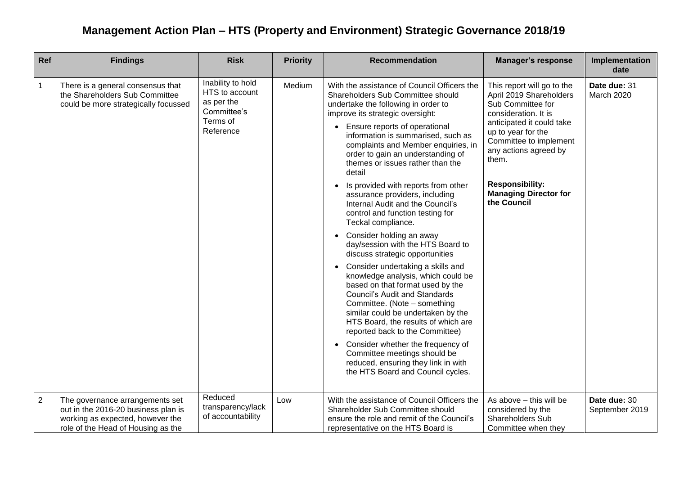# **Management Action Plan – HTS (Property and Environment) Strategic Governance 2018/19**

| Ref            | <b>Findings</b>                                                                                                                                  | <b>Risk</b>                                                                               | <b>Priority</b> | <b>Recommendation</b>                                                                                                                                                                                                                                                                                                                                                                                                                                                                                                                                                                                                                                                                                                                                                                                                                                                                                                                                                                                                                                                                                                                      | <b>Manager's response</b>                                                                                                                                                                                                                                                                  | Implementation<br>date         |
|----------------|--------------------------------------------------------------------------------------------------------------------------------------------------|-------------------------------------------------------------------------------------------|-----------------|--------------------------------------------------------------------------------------------------------------------------------------------------------------------------------------------------------------------------------------------------------------------------------------------------------------------------------------------------------------------------------------------------------------------------------------------------------------------------------------------------------------------------------------------------------------------------------------------------------------------------------------------------------------------------------------------------------------------------------------------------------------------------------------------------------------------------------------------------------------------------------------------------------------------------------------------------------------------------------------------------------------------------------------------------------------------------------------------------------------------------------------------|--------------------------------------------------------------------------------------------------------------------------------------------------------------------------------------------------------------------------------------------------------------------------------------------|--------------------------------|
| $\mathbf{1}$   | There is a general consensus that<br>the Shareholders Sub Committee<br>could be more strategically focussed                                      | Inability to hold<br>HTS to account<br>as per the<br>Committee's<br>Terms of<br>Reference | Medium          | With the assistance of Council Officers the<br>Shareholders Sub Committee should<br>undertake the following in order to<br>improve its strategic oversight:<br>Ensure reports of operational<br>$\bullet$<br>information is summarised, such as<br>complaints and Member enquiries, in<br>order to gain an understanding of<br>themes or issues rather than the<br>detail<br>Is provided with reports from other<br>$\bullet$<br>assurance providers, including<br>Internal Audit and the Council's<br>control and function testing for<br>Teckal compliance.<br>• Consider holding an away<br>day/session with the HTS Board to<br>discuss strategic opportunities<br>Consider undertaking a skills and<br>$\bullet$<br>knowledge analysis, which could be<br>based on that format used by the<br><b>Council's Audit and Standards</b><br>Committee. (Note - something<br>similar could be undertaken by the<br>HTS Board, the results of which are<br>reported back to the Committee)<br>• Consider whether the frequency of<br>Committee meetings should be<br>reduced, ensuring they link in with<br>the HTS Board and Council cycles. | This report will go to the<br>April 2019 Shareholders<br>Sub Committee for<br>consideration. It is<br>anticipated it could take<br>up to year for the<br>Committee to implement<br>any actions agreed by<br>them.<br><b>Responsibility:</b><br><b>Managing Director for</b><br>the Council | Date due: 31<br>March 2020     |
| $\overline{2}$ | The governance arrangements set<br>out in the 2016-20 business plan is<br>working as expected, however the<br>role of the Head of Housing as the | Reduced<br>transparency/lack<br>of accountability                                         | Low             | With the assistance of Council Officers the<br>Shareholder Sub Committee should<br>ensure the role and remit of the Council's<br>representative on the HTS Board is                                                                                                                                                                                                                                                                                                                                                                                                                                                                                                                                                                                                                                                                                                                                                                                                                                                                                                                                                                        | As above - this will be<br>considered by the<br>Shareholders Sub<br>Committee when they                                                                                                                                                                                                    | Date due: 30<br>September 2019 |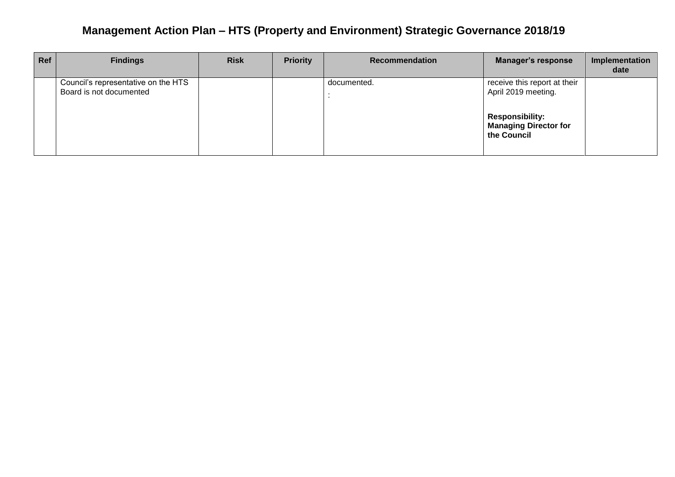# **Management Action Plan – HTS (Property and Environment) Strategic Governance 2018/19**

| <b>Ref</b> | <b>Findings</b>                                                | <b>Risk</b> | <b>Priority</b> | <b>Recommendation</b> | <b>Manager's response</b>                                             | Implementation<br>date |
|------------|----------------------------------------------------------------|-------------|-----------------|-----------------------|-----------------------------------------------------------------------|------------------------|
|            | Council's representative on the HTS<br>Board is not documented |             |                 | documented.           | receive this report at their<br>April 2019 meeting.                   |                        |
|            |                                                                |             |                 |                       | <b>Responsibility:</b><br><b>Managing Director for</b><br>the Council |                        |